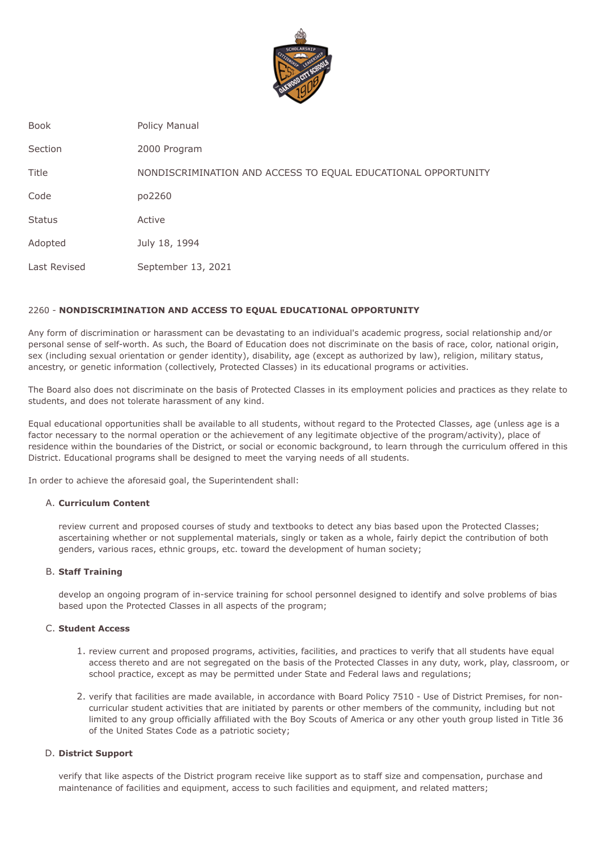

Book Policy Manual

Section 2000 Program

Title NONDISCRIMINATION AND ACCESS TO EQUAL EDUCATIONAL OPPORTUNITY

Code po2260

Status Active

Adopted July 18, 1994

Last Revised September 13, 2021

# 2260 - **NONDISCRIMINATION AND ACCESS TO EQUAL EDUCATIONAL OPPORTUNITY**

 Any form of discrimination or harassment can be devastating to an individual's academic progress, social relationship and/or personal sense of self-worth. As such, the Board of Education does not discriminate on the basis of race, color, national origin, sex (including sexual orientation or gender identity), disability, age (except as authorized by law), religion, military status, ancestry, or genetic information (collectively, Protected Classes) in its educational programs or activities.

 The Board also does not discriminate on the basis of Protected Classes in its employment policies and practices as they relate to students, and does not tolerate harassment of any kind.

 Equal educational opportunities shall be available to all students, without regard to the Protected Classes, age (unless age is a factor necessary to the normal operation or the achievement of any legitimate objective of the program/activity), place of residence within the boundaries of the District, or social or economic background, to learn through the curriculum offered in this District. Educational programs shall be designed to meet the varying needs of all students.

In order to achieve the aforesaid goal, the Superintendent shall:

# A. **Curriculum Content**

 review current and proposed courses of study and textbooks to detect any bias based upon the Protected Classes; ascertaining whether or not supplemental materials, singly or taken as a whole, fairly depict the contribution of both genders, various races, ethnic groups, etc. toward the development of human society;

# B. **Staff Training**

 develop an ongoing program of in-service training for school personnel designed to identify and solve problems of bias based upon the Protected Classes in all aspects of the program;

# C. **Student Access**

- 1. review current and proposed programs, activities, facilities, and practices to verify that all students have equal access thereto and are not segregated on the basis of the Protected Classes in any duty, work, play, classroom, or school practice, except as may be permitted under State and Federal laws and regulations;
- 2. verify that facilities are made available, in accordance with Board Policy 7510 Use of District Premises, for non- curricular student activities that are initiated by parents or other members of the community, including but not limited to any group officially affiliated with the Boy Scouts of America or any other youth group listed in Title 36 of the United States Code as a patriotic society;

# D. **District Support**

 verify that like aspects of the District program receive like support as to staff size and compensation, purchase and maintenance of facilities and equipment, access to such facilities and equipment, and related matters;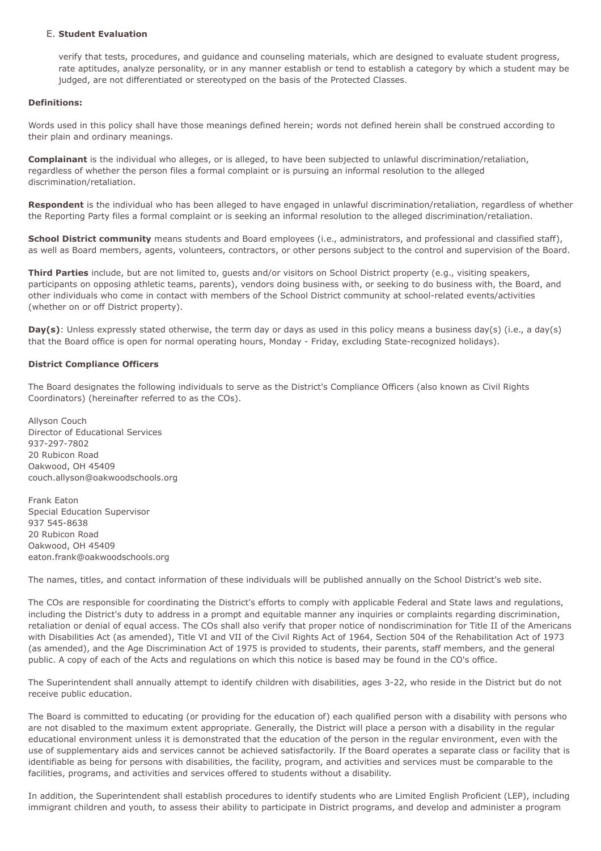### E. **Student Evaluation**

 verify that tests, procedures, and guidance and counseling materials, which are designed to evaluate student progress, rate aptitudes, analyze personality, or in any manner establish or tend to establish a category by which a student may be judged, are not differentiated or stereotyped on the basis of the Protected Classes.

### **Definitions:**

 Words used in this policy shall have those meanings defined herein; words not defined herein shall be construed according to their plain and ordinary meanings.

 **Complainant** is the individual who alleges, or is alleged, to have been subjected to unlawful discrimination/retaliation, regardless of whether the person files a formal complaint or is pursuing an informal resolution to the alleged discrimination/retaliation.

 **Respondent** is the individual who has been alleged to have engaged in unlawful discrimination/retaliation, regardless of whether the Reporting Party files a formal complaint or is seeking an informal resolution to the alleged discrimination/retaliation.

 **School District community** means students and Board employees (i.e., administrators, and professional and classified staff), as well as Board members, agents, volunteers, contractors, or other persons subject to the control and supervision of the Board.

 **Third Parties** include, but are not limited to, guests and/or visitors on School District property (e.g., visiting speakers, participants on opposing athletic teams, parents), vendors doing business with, or seeking to do business with, the Board, and other individuals who come in contact with members of the School District community at school-related events/activities (whether on or off District property).

 **Day(s)**: Unless expressly stated otherwise, the term day or days as used in this policy means a business day(s) (i.e., a day(s) that the Board office is open for normal operating hours, Monday - Friday, excluding State-recognized holidays).

### **District Compliance Officers**

 The Board designates the following individuals to serve as the District's Compliance Officers (also known as Civil Rights Coordinators) (hereinafter referred to as the COs).

 Director of Educational Services Oakwood, OH 45409 Allyson Couch 937-297-7802 20 Rubicon Road [couch.allyson@oakwoodschools.org](mailto:couch.allyson@oakwoodschools.org)

 Special Education Supervisor Oakwood, OH 45409 Frank Eaton 937 545-8638 20 Rubicon Road [eaton.frank@oakwoodschools.org](mailto:eaton.frank@oakwoodschools.org)

The names, titles, and contact information of these individuals will be published annually on the School District's web site.

 The COs are responsible for coordinating the District's efforts to comply with applicable Federal and State laws and regulations, including the District's duty to address in a prompt and equitable manner any inquiries or complaints regarding discrimination, retaliation or denial of equal access. The COs shall also verify that proper notice of nondiscrimination for Title II of the Americans with Disabilities Act (as amended), Title VI and VII of the Civil Rights Act of 1964, Section 504 of the Rehabilitation Act of 1973 (as amended), and the Age Discrimination Act of 1975 is provided to students, their parents, staff members, and the general public. A copy of each of the Acts and regulations on which this notice is based may be found in the CO's office.

 The Superintendent shall annually attempt to identify children with disabilities, ages 3-22, who reside in the District but do not receive public education.

 The Board is committed to educating (or providing for the education of) each qualified person with a disability with persons who are not disabled to the maximum extent appropriate. Generally, the District will place a person with a disability in the regular educational environment unless it is demonstrated that the education of the person in the regular environment, even with the use of supplementary aids and services cannot be achieved satisfactorily. If the Board operates a separate class or facility that is identifiable as being for persons with disabilities, the facility, program, and activities and services must be comparable to the facilities, programs, and activities and services offered to students without a disability.

 In addition, the Superintendent shall establish procedures to identify students who are Limited English Proficient (LEP), including immigrant children and youth, to assess their ability to participate in District programs, and develop and administer a program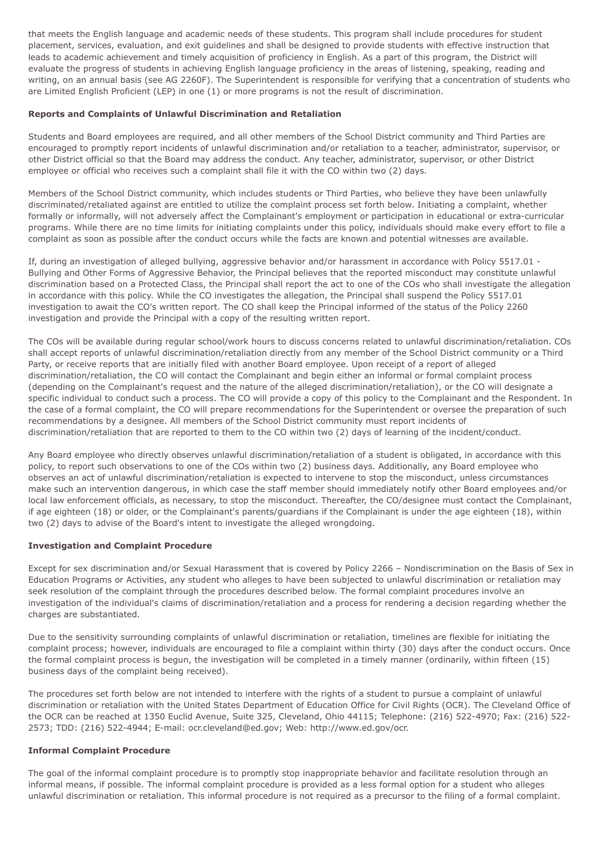that meets the English language and academic needs of these students. This program shall include procedures for student placement, services, evaluation, and exit guidelines and shall be designed to provide students with effective instruction that leads to academic achievement and timely acquisition of proficiency in English. As a part of this program, the District will evaluate the progress of students in achieving English language proficiency in the areas of listening, speaking, reading and writing, on an annual basis (see AG 2260F). The Superintendent is responsible for verifying that a concentration of students who are Limited English Proficient (LEP) in one (1) or more programs is not the result of discrimination.

### **Reports and Complaints of Unlawful Discrimination and Retaliation**

 Students and Board employees are required, and all other members of the School District community and Third Parties are encouraged to promptly report incidents of unlawful discrimination and/or retaliation to a teacher, administrator, supervisor, or other District official so that the Board may address the conduct. Any teacher, administrator, supervisor, or other District employee or official who receives such a complaint shall file it with the CO within two (2) days.

 Members of the School District community, which includes students or Third Parties, who believe they have been unlawfully discriminated/retaliated against are entitled to utilize the complaint process set forth below. Initiating a complaint, whether formally or informally, will not adversely affect the Complainant's employment or participation in educational or extra-curricular programs. While there are no time limits for initiating complaints under this policy, individuals should make every effort to file a complaint as soon as possible after the conduct occurs while the facts are known and potential witnesses are available.

 If, during an investigation of alleged bullying, aggressive behavior and/or harassment in accordance with Policy 5517.01 - Bullying and Other Forms of Aggressive Behavior, the Principal believes that the reported misconduct may constitute unlawful discrimination based on a Protected Class, the Principal shall report the act to one of the COs who shall investigate the allegation in accordance with this policy. While the CO investigates the allegation, the Principal shall suspend the Policy 5517.01 investigation to await the CO's written report. The CO shall keep the Principal informed of the status of the Policy 2260 investigation and provide the Principal with a copy of the resulting written report.

 The COs will be available during regular school/work hours to discuss concerns related to unlawful discrimination/retaliation. COs shall accept reports of unlawful discrimination/retaliation directly from any member of the School District community or a Third Party, or receive reports that are initially filed with another Board employee. Upon receipt of a report of alleged discrimination/retaliation, the CO will contact the Complainant and begin either an informal or formal complaint process (depending on the Complainant's request and the nature of the alleged discrimination/retaliation), or the CO will designate a specific individual to conduct such a process. The CO will provide a copy of this policy to the Complainant and the Respondent. In the case of a formal complaint, the CO will prepare recommendations for the Superintendent or oversee the preparation of such recommendations by a designee. All members of the School District community must report incidents of discrimination/retaliation that are reported to them to the CO within two (2) days of learning of the incident/conduct.

 Any Board employee who directly observes unlawful discrimination/retaliation of a student is obligated, in accordance with this policy, to report such observations to one of the COs within two (2) business days. Additionally, any Board employee who observes an act of unlawful discrimination/retaliation is expected to intervene to stop the misconduct, unless circumstances make such an intervention dangerous, in which case the staff member should immediately notify other Board employees and/or local law enforcement officials, as necessary, to stop the misconduct. Thereafter, the CO/designee must contact the Complainant, if age eighteen (18) or older, or the Complainant's parents/guardians if the Complainant is under the age eighteen (18), within two (2) days to advise of the Board's intent to investigate the alleged wrongdoing.

#### **Investigation and Complaint Procedure**

 Except for sex discrimination and/or Sexual Harassment that is covered by Policy 2266 – Nondiscrimination on the Basis of Sex in Education Programs or Activities, any student who alleges to have been subjected to unlawful discrimination or retaliation may seek resolution of the complaint through the procedures described below. The formal complaint procedures involve an investigation of the individual's claims of discrimination/retaliation and a process for rendering a decision regarding whether the charges are substantiated.

 Due to the sensitivity surrounding complaints of unlawful discrimination or retaliation, timelines are flexible for initiating the complaint process; however, individuals are encouraged to file a complaint within thirty (30) days after the conduct occurs. Once the formal complaint process is begun, the investigation will be completed in a timely manner (ordinarily, within fifteen (15) business days of the complaint being received).

 The procedures set forth below are not intended to interfere with the rights of a student to pursue a complaint of unlawful discrimination or retaliation with the United States Department of Education Office for Civil Rights (OCR). The Cleveland Office of the OCR can be reached at 1350 Euclid Avenue, Suite 325, Cleveland, Ohio 44115; Telephone: (216) 522-4970; Fax: (216) 522- 2573; TDD: (216) 522-4944; E-mail: [ocr.cleveland@ed.gov](mailto:ocr.cleveland@ed.gov); Web: [http://www.ed.gov/ocr.](http://www.ed.gov/ocr)

#### **Informal Complaint Procedure**

 The goal of the informal complaint procedure is to promptly stop inappropriate behavior and facilitate resolution through an informal means, if possible. The informal complaint procedure is provided as a less formal option for a student who alleges unlawful discrimination or retaliation. This informal procedure is not required as a precursor to the filing of a formal complaint.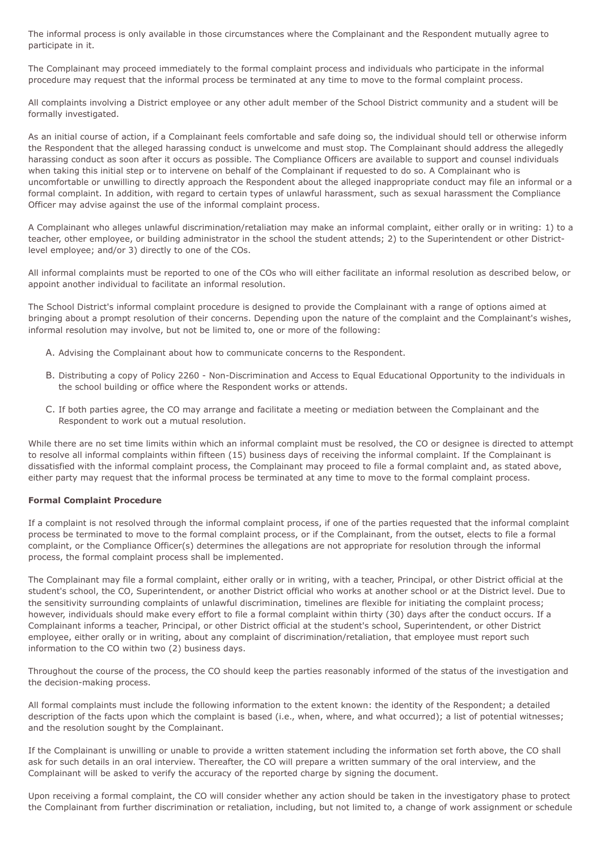The informal process is only available in those circumstances where the Complainant and the Respondent mutually agree to participate in it.

 The Complainant may proceed immediately to the formal complaint process and individuals who participate in the informal procedure may request that the informal process be terminated at any time to move to the formal complaint process.

 All complaints involving a District employee or any other adult member of the School District community and a student will be formally investigated.

 As an initial course of action, if a Complainant feels comfortable and safe doing so, the individual should tell or otherwise inform the Respondent that the alleged harassing conduct is unwelcome and must stop. The Complainant should address the allegedly harassing conduct as soon after it occurs as possible. The Compliance Officers are available to support and counsel individuals when taking this initial step or to intervene on behalf of the Complainant if requested to do so. A Complainant who is uncomfortable or unwilling to directly approach the Respondent about the alleged inappropriate conduct may file an informal or a formal complaint. In addition, with regard to certain types of unlawful harassment, such as sexual harassment the Compliance Officer may advise against the use of the informal complaint process.

 A Complainant who alleges unlawful discrimination/retaliation may make an informal complaint, either orally or in writing: 1) to a teacher, other employee, or building administrator in the school the student attends; 2) to the Superintendent or other District-level employee; and/or 3) directly to one of the COs.

 All informal complaints must be reported to one of the COs who will either facilitate an informal resolution as described below, or appoint another individual to facilitate an informal resolution.

 The School District's informal complaint procedure is designed to provide the Complainant with a range of options aimed at bringing about a prompt resolution of their concerns. Depending upon the nature of the complaint and the Complainant's wishes, informal resolution may involve, but not be limited to, one or more of the following:

- A. Advising the Complainant about how to communicate concerns to the Respondent.
- B. Distributing a copy of Policy 2260 Non-Discrimination and Access to Equal Educational Opportunity to the individuals in the school building or office where the Respondent works or attends.
- C. If both parties agree, the CO may arrange and facilitate a meeting or mediation between the Complainant and the Respondent to work out a mutual resolution.

 While there are no set time limits within which an informal complaint must be resolved, the CO or designee is directed to attempt to resolve all informal complaints within fifteen (15) business days of receiving the informal complaint. If the Complainant is dissatisfied with the informal complaint process, the Complainant may proceed to file a formal complaint and, as stated above, either party may request that the informal process be terminated at any time to move to the formal complaint process.

# **Formal Complaint Procedure**

 If a complaint is not resolved through the informal complaint process, if one of the parties requested that the informal complaint process be terminated to move to the formal complaint process, or if the Complainant, from the outset, elects to file a formal complaint, or the Compliance Officer(s) determines the allegations are not appropriate for resolution through the informal process, the formal complaint process shall be implemented.

 The Complainant may file a formal complaint, either orally or in writing, with a teacher, Principal, or other District official at the student's school, the CO, Superintendent, or another District official who works at another school or at the District level. Due to the sensitivity surrounding complaints of unlawful discrimination, timelines are flexible for initiating the complaint process; however, individuals should make every effort to file a formal complaint within thirty (30) days after the conduct occurs. If a Complainant informs a teacher, Principal, or other District official at the student's school, Superintendent, or other District employee, either orally or in writing, about any complaint of discrimination/retaliation, that employee must report such information to the CO within two (2) business days.

 Throughout the course of the process, the CO should keep the parties reasonably informed of the status of the investigation and the decision-making process.

 All formal complaints must include the following information to the extent known: the identity of the Respondent; a detailed description of the facts upon which the complaint is based (i.e., when, where, and what occurred); a list of potential witnesses; and the resolution sought by the Complainant.

 If the Complainant is unwilling or unable to provide a written statement including the information set forth above, the CO shall ask for such details in an oral interview. Thereafter, the CO will prepare a written summary of the oral interview, and the Complainant will be asked to verify the accuracy of the reported charge by signing the document.

 Upon receiving a formal complaint, the CO will consider whether any action should be taken in the investigatory phase to protect the Complainant from further discrimination or retaliation, including, but not limited to, a change of work assignment or schedule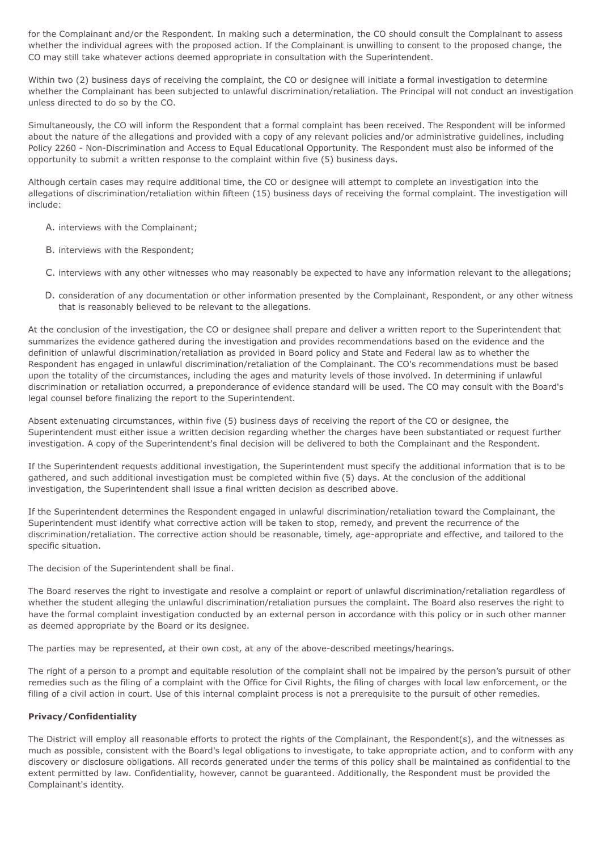for the Complainant and/or the Respondent. In making such a determination, the CO should consult the Complainant to assess whether the individual agrees with the proposed action. If the Complainant is unwilling to consent to the proposed change, the CO may still take whatever actions deemed appropriate in consultation with the Superintendent.

 Within two (2) business days of receiving the complaint, the CO or designee will initiate a formal investigation to determine whether the Complainant has been subjected to unlawful discrimination/retaliation. The Principal will not conduct an investigation unless directed to do so by the CO.

 Simultaneously, the CO will inform the Respondent that a formal complaint has been received. The Respondent will be informed about the nature of the allegations and provided with a copy of any relevant policies and/or administrative guidelines, including Policy 2260 - Non-Discrimination and Access to Equal Educational Opportunity. The Respondent must also be informed of the opportunity to submit a written response to the complaint within five (5) business days.

 Although certain cases may require additional time, the CO or designee will attempt to complete an investigation into the allegations of discrimination/retaliation within fifteen (15) business days of receiving the formal complaint. The investigation will include:

A. interviews with the Complainant;

- B. interviews with the Respondent;
- C. interviews with any other witnesses who may reasonably be expected to have any information relevant to the allegations;
- D. consideration of any documentation or other information presented by the Complainant, Respondent, or any other witness that is reasonably believed to be relevant to the allegations.

 At the conclusion of the investigation, the CO or designee shall prepare and deliver a written report to the Superintendent that summarizes the evidence gathered during the investigation and provides recommendations based on the evidence and the definition of unlawful discrimination/retaliation as provided in Board policy and State and Federal law as to whether the Respondent has engaged in unlawful discrimination/retaliation of the Complainant. The CO's recommendations must be based upon the totality of the circumstances, including the ages and maturity levels of those involved. In determining if unlawful discrimination or retaliation occurred, a preponderance of evidence standard will be used. The CO may consult with the Board's legal counsel before finalizing the report to the Superintendent.

 Absent extenuating circumstances, within five (5) business days of receiving the report of the CO or designee, the Superintendent must either issue a written decision regarding whether the charges have been substantiated or request further investigation. A copy of the Superintendent's final decision will be delivered to both the Complainant and the Respondent.

 If the Superintendent requests additional investigation, the Superintendent must specify the additional information that is to be gathered, and such additional investigation must be completed within five (5) days. At the conclusion of the additional investigation, the Superintendent shall issue a final written decision as described above.

 If the Superintendent determines the Respondent engaged in unlawful discrimination/retaliation toward the Complainant, the Superintendent must identify what corrective action will be taken to stop, remedy, and prevent the recurrence of the discrimination/retaliation. The corrective action should be reasonable, timely, age-appropriate and effective, and tailored to the specific situation.

The decision of the Superintendent shall be final.

 The Board reserves the right to investigate and resolve a complaint or report of unlawful discrimination/retaliation regardless of whether the student alleging the unlawful discrimination/retaliation pursues the complaint. The Board also reserves the right to have the formal complaint investigation conducted by an external person in accordance with this policy or in such other manner as deemed appropriate by the Board or its designee.

The parties may be represented, at their own cost, at any of the above-described meetings/hearings.

 The right of a person to a prompt and equitable resolution of the complaint shall not be impaired by the person's pursuit of other remedies such as the filing of a complaint with the Office for Civil Rights, the filing of charges with local law enforcement, or the filing of a civil action in court. Use of this internal complaint process is not a prerequisite to the pursuit of other remedies.

# **Privacy/Confidentiality**

 The District will employ all reasonable efforts to protect the rights of the Complainant, the Respondent(s), and the witnesses as much as possible, consistent with the Board's legal obligations to investigate, to take appropriate action, and to conform with any discovery or disclosure obligations. All records generated under the terms of this policy shall be maintained as confidential to the extent permitted by law. Confidentiality, however, cannot be guaranteed. Additionally, the Respondent must be provided the Complainant's identity.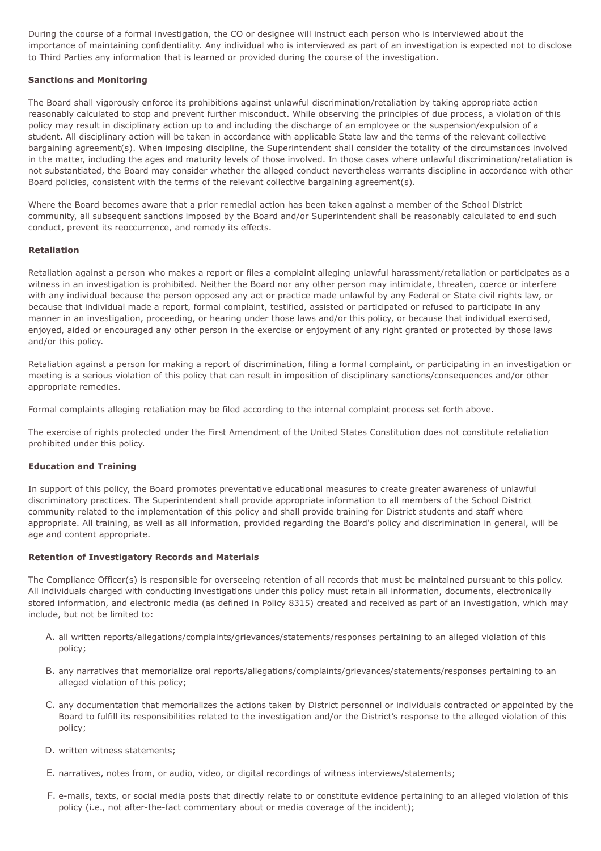During the course of a formal investigation, the CO or designee will instruct each person who is interviewed about the importance of maintaining confidentiality. Any individual who is interviewed as part of an investigation is expected not to disclose to Third Parties any information that is learned or provided during the course of the investigation.

### **Sanctions and Monitoring**

 The Board shall vigorously enforce its prohibitions against unlawful discrimination/retaliation by taking appropriate action reasonably calculated to stop and prevent further misconduct. While observing the principles of due process, a violation of this policy may result in disciplinary action up to and including the discharge of an employee or the suspension/expulsion of a student. All disciplinary action will be taken in accordance with applicable State law and the terms of the relevant collective bargaining agreement(s). When imposing discipline, the Superintendent shall consider the totality of the circumstances involved in the matter, including the ages and maturity levels of those involved. In those cases where unlawful discrimination/retaliation is not substantiated, the Board may consider whether the alleged conduct nevertheless warrants discipline in accordance with other Board policies, consistent with the terms of the relevant collective bargaining agreement(s).

 Where the Board becomes aware that a prior remedial action has been taken against a member of the School District community, all subsequent sanctions imposed by the Board and/or Superintendent shall be reasonably calculated to end such conduct, prevent its reoccurrence, and remedy its effects.

### **Retaliation**

 Retaliation against a person who makes a report or files a complaint alleging unlawful harassment/retaliation or participates as a witness in an investigation is prohibited. Neither the Board nor any other person may intimidate, threaten, coerce or interfere with any individual because the person opposed any act or practice made unlawful by any Federal or State civil rights law, or because that individual made a report, formal complaint, testified, assisted or participated or refused to participate in any manner in an investigation, proceeding, or hearing under those laws and/or this policy, or because that individual exercised, enjoyed, aided or encouraged any other person in the exercise or enjoyment of any right granted or protected by those laws and/or this policy.

 Retaliation against a person for making a report of discrimination, filing a formal complaint, or participating in an investigation or meeting is a serious violation of this policy that can result in imposition of disciplinary sanctions/consequences and/or other appropriate remedies.

Formal complaints alleging retaliation may be filed according to the internal complaint process set forth above.

 The exercise of rights protected under the First Amendment of the United States Constitution does not constitute retaliation prohibited under this policy.

#### **Education and Training**

 In support of this policy, the Board promotes preventative educational measures to create greater awareness of unlawful discriminatory practices. The Superintendent shall provide appropriate information to all members of the School District community related to the implementation of this policy and shall provide training for District students and staff where appropriate. All training, as well as all information, provided regarding the Board's policy and discrimination in general, will be age and content appropriate.

#### **Retention of Investigatory Records and Materials**

 The Compliance Officer(s) is responsible for overseeing retention of all records that must be maintained pursuant to this policy. All individuals charged with conducting investigations under this policy must retain all information, documents, electronically stored information, and electronic media (as defined in Policy 8315) created and received as part of an investigation, which may include, but not be limited to:

- A. all written reports/allegations/complaints/grievances/statements/responses pertaining to an alleged violation of this policy;
- alleged violation of this policy; B. any narratives that memorialize oral reports/allegations/complaints/grievances/statements/responses pertaining to an
- C. any documentation that memorializes the actions taken by District personnel or individuals contracted or appointed by the Board to fulfill its responsibilities related to the investigation and/or the District's response to the alleged violation of this policy;
- D. written witness statements;
- E. narratives, notes from, or audio, video, or digital recordings of witness interviews/statements;
- F. e-mails, texts, or social media posts that directly relate to or constitute evidence pertaining to an alleged violation of this policy (i.e., not after-the-fact commentary about or media coverage of the incident);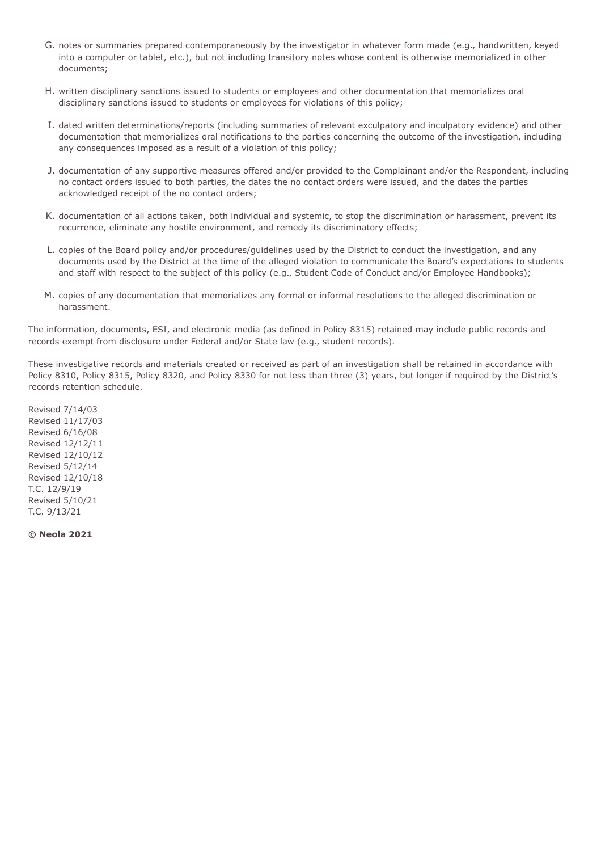- G. notes or summaries prepared contemporaneously by the investigator in whatever form made (e.g., handwritten, keyed into a computer or tablet, etc.), but not including transitory notes whose content is otherwise memorialized in other documents;
- H. written disciplinary sanctions issued to students or employees and other documentation that memorializes oral disciplinary sanctions issued to students or employees for violations of this policy;
- I. dated written determinations/reports (including summaries of relevant exculpatory and inculpatory evidence) and other documentation that memorializes oral notifications to the parties concerning the outcome of the investigation, including any consequences imposed as a result of a violation of this policy;
- J. documentation of any supportive measures offered and/or provided to the Complainant and/or the Respondent, including no contact orders issued to both parties, the dates the no contact orders were issued, and the dates the parties acknowledged receipt of the no contact orders;
- K. documentation of all actions taken, both individual and systemic, to stop the discrimination or harassment, prevent its recurrence, eliminate any hostile environment, and remedy its discriminatory effects;
- L. copies of the Board policy and/or procedures/guidelines used by the District to conduct the investigation, and any documents used by the District at the time of the alleged violation to communicate the Board's expectations to students and staff with respect to the subject of this policy (e.g., Student Code of Conduct and/or Employee Handbooks);
- M. copies of any documentation that memorializes any formal or informal resolutions to the alleged discrimination or harassment.

 The information, documents, ESI, and electronic media (as defined in Policy 8315) retained may include public records and records exempt from disclosure under Federal and/or State law (e.g., student records).

 These investigative records and materials created or received as part of an investigation shall be retained in accordance with Policy 8310, Policy 8315, Policy 8320, and Policy 8330 for not less than three (3) years, but longer if required by the District's records retention schedule.

Revised 7/14/03 Revised 11/17/03 Revised 6/16/08 Revised 12/12/11 Revised 12/10/12 Revised 5/12/14 Revised 12/10/18 T.C. 12/9/19 Revised 5/10/21 T.C. 9/13/21

**© Neola 2021**